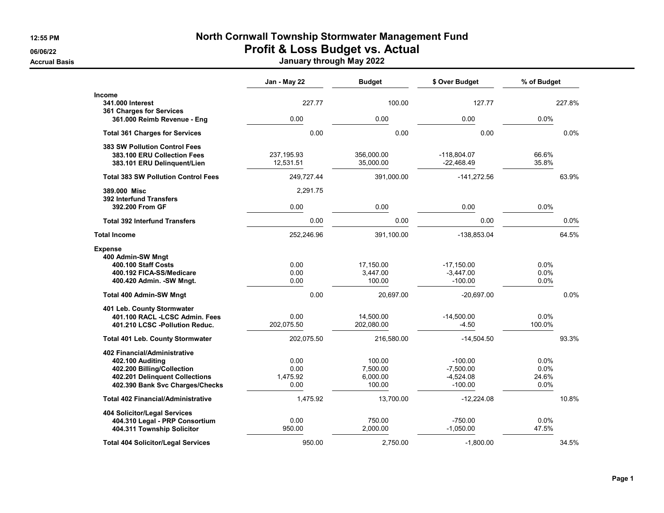## **12:55 PM North Cornwall Township Stormwater Management Fund 06/06/22 Profit & Loss Budget vs. Actual**

**Accrual Basis January through May 2022**

|                                                                                                                                                     | Jan - May 22                     | <b>Budget</b>                            | \$ Over Budget                                       | % of Budget                   |
|-----------------------------------------------------------------------------------------------------------------------------------------------------|----------------------------------|------------------------------------------|------------------------------------------------------|-------------------------------|
| <b>Income</b><br>341,000 Interest<br>361 Charges for Services                                                                                       | 227.77                           | 100.00                                   | 127.77                                               | 227.8%                        |
| 361.000 Reimb Revenue - Eng                                                                                                                         | 0.00                             | 0.00                                     | 0.00                                                 | 0.0%                          |
| <b>Total 361 Charges for Services</b>                                                                                                               | 0.00                             | 0.00                                     | 0.00                                                 | 0.0%                          |
| <b>383 SW Pollution Control Fees</b><br>383.100 ERU Collection Fees<br>383.101 ERU Delinquent/Lien                                                  | 237, 195.93<br>12,531.51         | 356,000.00<br>35,000.00                  | -118.804.07<br>$-22,468.49$                          | 66.6%<br>35.8%                |
| <b>Total 383 SW Pollution Control Fees</b>                                                                                                          | 249,727.44                       | 391,000.00                               | $-141,272.56$                                        | 63.9%                         |
| 389,000 Misc<br><b>392 Interfund Transfers</b>                                                                                                      | 2,291.75                         |                                          |                                                      |                               |
| 392.200 From GF                                                                                                                                     | 0.00                             | 0.00                                     | 0.00                                                 | 0.0%                          |
| <b>Total 392 Interfund Transfers</b>                                                                                                                | 0.00                             | 0.00                                     | 0.00                                                 | 0.0%                          |
| <b>Total Income</b>                                                                                                                                 | 252,246.96                       | 391,100.00                               | -138,853.04                                          | 64.5%                         |
| <b>Expense</b><br>400 Admin-SW Mngt<br>400.100 Staff Costs<br>400.192 FICA-SS/Medicare<br>400.420 Admin. - SW Mngt.                                 | 0.00<br>0.00<br>0.00             | 17,150.00<br>3,447.00<br>100.00          | $-17,150.00$<br>$-3,447.00$<br>$-100.00$             | 0.0%<br>0.0%<br>0.0%          |
| <b>Total 400 Admin-SW Mngt</b>                                                                                                                      | 0.00                             | 20,697.00                                | $-20,697.00$                                         | 0.0%                          |
| 401 Leb. County Stormwater<br>401.100 RACL - LCSC Admin. Fees<br>401.210 LCSC -Pollution Reduc.                                                     | 0.00<br>202,075.50               | 14,500.00<br>202,080.00                  | $-14,500.00$<br>$-4.50$                              | 0.0%<br>100.0%                |
| <b>Total 401 Leb. County Stormwater</b>                                                                                                             | 202,075.50                       | 216,580.00                               | $-14,504.50$                                         | 93.3%                         |
| 402 Financial/Administrative<br>402.100 Auditing<br>402.200 Billing/Collection<br>402.201 Delinquent Collections<br>402.390 Bank Svc Charges/Checks | 0.00<br>0.00<br>1,475.92<br>0.00 | 100.00<br>7,500.00<br>6,000.00<br>100.00 | $-100.00$<br>$-7,500.00$<br>$-4,524.08$<br>$-100.00$ | 0.0%<br>0.0%<br>24.6%<br>0.0% |
| <b>Total 402 Financial/Administrative</b>                                                                                                           | 1,475.92                         | 13,700.00                                | $-12,224.08$                                         | 10.8%                         |
| 404 Solicitor/Legal Services<br>404.310 Legal - PRP Consortium<br>404.311 Township Solicitor                                                        | 0.00<br>950.00                   | 750.00<br>2,000.00                       | $-750.00$<br>$-1,050.00$                             | 0.0%<br>47.5%                 |
| <b>Total 404 Solicitor/Legal Services</b>                                                                                                           | 950.00                           | 2,750.00                                 | $-1,800.00$                                          | 34.5%                         |